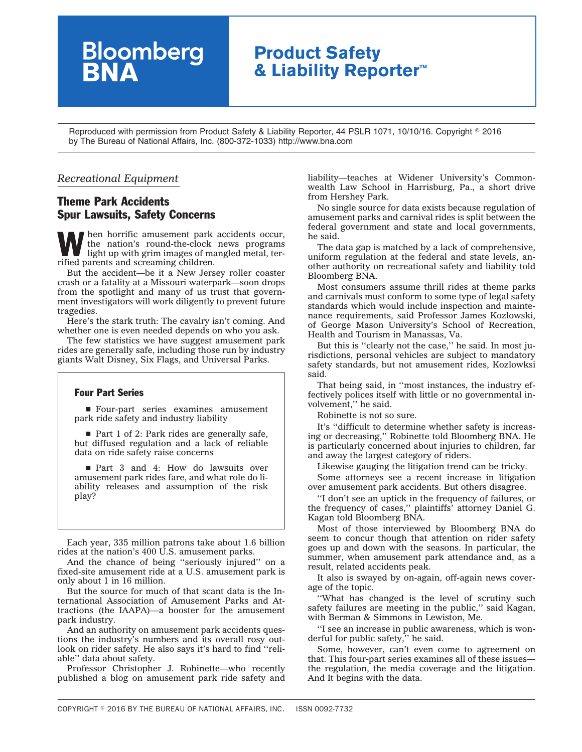## **Product Safety & Liability Reporter™**

Reproduced with permission from Product Safety & Liability Reporter, 44 PSLR 1071, 10/10/16. Copyright © 2016 by The Bureau of National Affairs, Inc. (800-372-1033) http://www.bna.com

## *Recreational Equipment*

## Theme Park Accidents Spur Lawsuits, Safety Concerns

**Bloomberg**<br>**BNA** 

When horrific amusement park accidents occur,<br>the nation's round-the-clock news programs<br>light up with grim images of mangled metal, terthe nation's round-the-clock news programs light up with grim images of mangled metal, terrified parents and screaming children.

But the accident—be it a New Jersey roller coaster crash or a fatality at a Missouri waterpark—soon drops from the spotlight and many of us trust that government investigators will work diligently to prevent future tragedies.

Here's the stark truth: The cavalry isn't coming. And whether one is even needed depends on who you ask.

The few statistics we have suggest amusement park rides are generally safe, including those run by industry giants Walt Disney, Six Flags, and Universal Parks.

## Four Part Series

■ Four-part series examines amusement park ride safety and industry liability

 $\blacksquare$  Part 1 of 2: Park rides are generally safe, but diffused regulation and a lack of reliable data on ride safety raise concerns

■ Part 3 and 4: How do lawsuits over amusement park rides fare, and what role do liability releases and assumption of the risk play?

Each year, 335 million patrons take about 1.6 billion rides at the nation's 400 U.S. amusement parks.

And the chance of being ''seriously injured'' on a fixed-site amusement ride at a U.S. amusement park is only about 1 in 16 million.

But the source for much of that scant data is the International Association of Amusement Parks and Attractions (the IAAPA)—a booster for the amusement park industry.

And an authority on amusement park accidents questions the industry's numbers and its overall rosy outlook on rider safety. He also says it's hard to find ''reliable'' data about safety.

Professor Christopher J. Robinette—who recently published a blog on amusement park ride safety and liability—teaches at Widener University's Commonwealth Law School in Harrisburg, Pa., a short drive from Hershey Park.

No single source for data exists because regulation of amusement parks and carnival rides is split between the federal government and state and local governments, he said.

The data gap is matched by a lack of comprehensive, uniform regulation at the federal and state levels, another authority on recreational safety and liability told Bloomberg BNA.

Most consumers assume thrill rides at theme parks and carnivals must conform to some type of legal safety standards which would include inspection and maintenance requirements, said Professor James Kozlowski, of George Mason University's School of Recreation, Health and Tourism in Manassas, Va.

But this is ''clearly not the case,'' he said. In most jurisdictions, personal vehicles are subject to mandatory safety standards, but not amusement rides, Kozlowksi said.

That being said, in ''most instances, the industry effectively polices itself with little or no governmental involvement,'' he said.

Robinette is not so sure.

It's ''difficult to determine whether safety is increasing or decreasing,'' Robinette told Bloomberg BNA. He is particularly concerned about injuries to children, far and away the largest category of riders.

Likewise gauging the litigation trend can be tricky.

Some attorneys see a recent increase in litigation over amusement park accidents. But others disagree.

''I don't see an uptick in the frequency of failures, or the frequency of cases,'' plaintiffs' attorney Daniel G. Kagan told Bloomberg BNA.

Most of those interviewed by Bloomberg BNA do seem to concur though that attention on rider safety goes up and down with the seasons. In particular, the summer, when amusement park attendance and, as a result, related accidents peak.

It also is swayed by on-again, off-again news coverage of the topic.

''What has changed is the level of scrutiny such safety failures are meeting in the public,'' said Kagan, with Berman & Simmons in Lewiston, Me.

''I see an increase in public awareness, which is wonderful for public safety,'' he said.

Some, however, can't even come to agreement on that. This four-part series examines all of these issues the regulation, the media coverage and the litigation. And It begins with the data.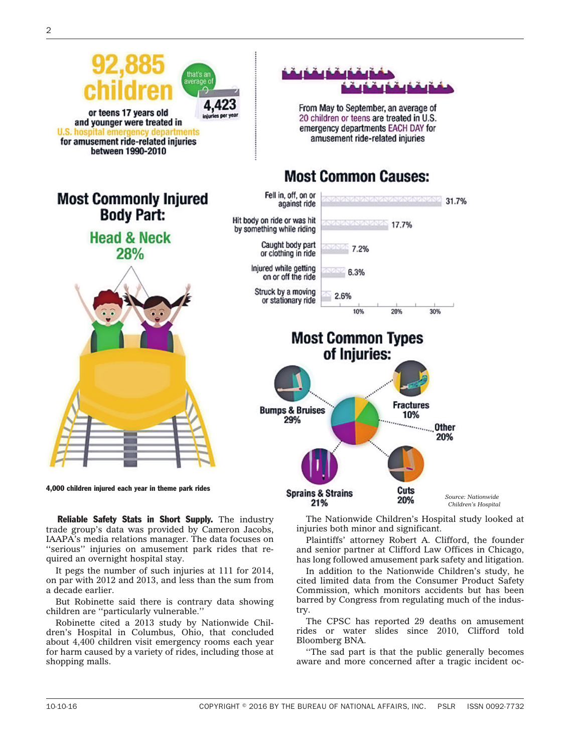

4,000 children injured each year in theme park rides

Reliable Safety Stats in Short Supply. The industry trade group's data was provided by Cameron Jacobs, IAAPA's media relations manager. The data focuses on ''serious'' injuries on amusement park rides that required an overnight hospital stay.

It pegs the number of such injuries at 111 for 2014, on par with 2012 and 2013, and less than the sum from a decade earlier.

But Robinette said there is contrary data showing children are ''particularly vulnerable.''

Robinette cited a 2013 [study](http://www.nationwidechildrens.org/news-room-articles/new-study-finds-20-children-a-day-during-the-summer-are-treated-in-us-emergency-departments-for-amusement-ride-related-injuries?contentid=116212) by Nationwide Children's Hospital in Columbus, Ohio, that concluded about 4,400 children visit emergency rooms each year for harm caused by a variety of rides, including those at shopping malls.

The Nationwide Children's Hospital study looked at injuries both minor and significant.

Cuts

20%

*Source: Nationwide Children's Hospital*

31.7%

Plaintiffs' attorney Robert A. Clifford, the founder and senior partner at Clifford Law Offices in Chicago, has long followed amusement park safety and litigation.

In addition to the Nationwide Children's study, he cited limited data from the Consumer Product Safety Commission, which monitors accidents but has been barred by Congress from regulating much of the industry.

The CPSC has reported 29 deaths on amusement rides or water slides since 2010, Clifford told Bloomberg BNA.

''The sad part is that the public generally becomes aware and more concerned after a tragic incident oc-

**Sprains & Strains** 

21%